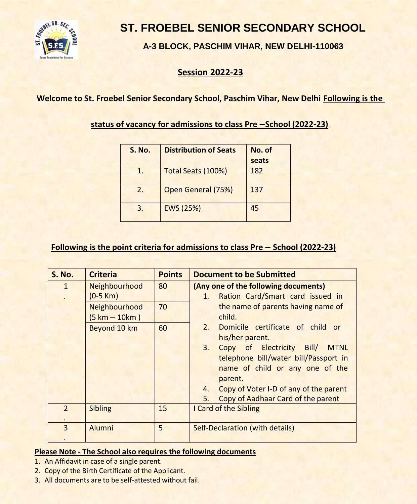

# **ST. FROEBEL SENIOR SECONDARY SCHOOL**

**A-3 BLOCK, PASCHIM VIHAR, NEW DELHI-110063**

### **Session 2022-23**

### **Welcome to St. Froebel Senior Secondary School, Paschim Vihar, New Delhi Following is the**

**status of vacancy for admissions to class Pre –School (2022-23)**

| <b>S. No.</b> | <b>Distribution of Seats</b> | No. of |  |  |  |
|---------------|------------------------------|--------|--|--|--|
|               |                              | seats  |  |  |  |
| 1.            | Total Seats (100%)           | 182    |  |  |  |
| 2.            | Open General (75%)           | 137    |  |  |  |
| 3.            | EWS (25%)                    | 45     |  |  |  |

#### **Following is the point criteria for admissions to class Pre – School (2022-23)**

| <b>S. No.</b>  | <b>Criteria</b>  | <b>Points</b> | <b>Document to be Submitted</b>                |  |
|----------------|------------------|---------------|------------------------------------------------|--|
| $\mathbf{1}$   | Neighbourhood    | 80            | (Any one of the following documents)           |  |
|                | $(0-5 Km)$       |               | Ration Card/Smart card issued in<br>1.         |  |
|                | Neighbourhood    | 70            | the name of parents having name of             |  |
|                | $(5 km - 10 km)$ |               | child.                                         |  |
|                | Beyond 10 km     | 60            | 2.<br>Domicile certificate of child or         |  |
|                |                  |               | his/her parent.                                |  |
|                |                  |               | Copy of Electricity Bill/<br>3.<br><b>MTNL</b> |  |
|                |                  |               | telephone bill/water bill/Passport in          |  |
|                |                  |               | name of child or any one of the                |  |
|                |                  |               | parent.                                        |  |
|                |                  |               | Copy of Voter I-D of any of the parent<br>4.   |  |
|                |                  |               | Copy of Aadhaar Card of the parent<br>5.       |  |
| $\mathcal{P}$  | <b>Sibling</b>   | 15            | I Card of the Sibling                          |  |
|                |                  |               |                                                |  |
| $\overline{3}$ | Alumni           | 5             | <b>Self-Declaration (with details)</b>         |  |
|                |                  |               |                                                |  |

#### **Please Note - The School also requires the following documents**

- 1. An Affidavit in case of a single parent.
- 2. Copy of the Birth Certificate of the Applicant.
- 3. All documents are to be self-attested without fail.